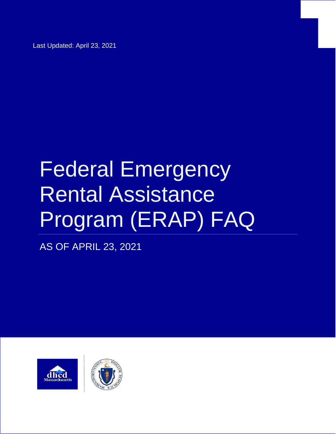Last Updated: April 23, 2021

# Federal Emergency Rental Assistance Program (ERAP) FAQ

AS OF APRIL 23, 2021

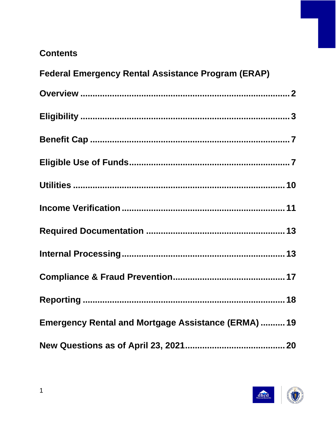## **Contents**

| <b>Federal Emergency Rental Assistance Program (ERAP)</b>  |
|------------------------------------------------------------|
|                                                            |
|                                                            |
|                                                            |
|                                                            |
|                                                            |
|                                                            |
|                                                            |
|                                                            |
|                                                            |
|                                                            |
| <b>Emergency Rental and Mortgage Assistance (ERMA)  19</b> |
|                                                            |

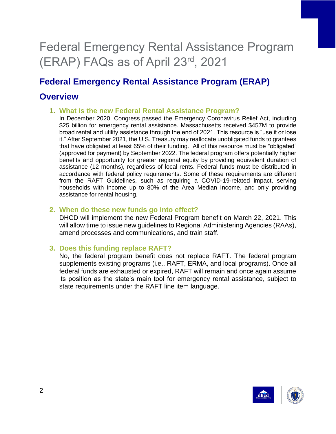## Federal Emergency Rental Assistance Program (ERAP) FAQs as of April 23rd, 2021

## <span id="page-2-0"></span>**Federal Emergency Rental Assistance Program (ERAP)**

## **Overview**

## **1. What is the new Federal Rental Assistance Program?**

In December 2020, Congress passed the Emergency Coronavirus Relief Act, including \$25 billion for emergency rental assistance. Massachusetts received \$457M to provide broad rental and utility assistance through the end of 2021. This resource is "use it or lose it." After September 2021, the U.S. Treasury may reallocate unobligated funds to grantees that have obligated at least 65% of their funding. All of this resource must be "obligated" (approved for payment) by September 2022. The federal program offers potentially higher benefits and opportunity for greater regional equity by providing equivalent duration of assistance (12 months), regardless of local rents. Federal funds must be distributed in accordance with federal policy requirements. Some of these requirements are different from the RAFT Guidelines, such as requiring a COVID-19-related impact, serving households with income up to 80% of the Area Median Income, and only providing assistance for rental housing.

## **2. When do these new funds go into effect?**

DHCD will implement the new Federal Program benefit on March 22, 2021. This will allow time to issue new guidelines to Regional Administering Agencies (RAAs), amend processes and communications, and train staff.

## **3. Does this funding replace RAFT?**

No, the federal program benefit does not replace RAFT. The federal program supplements existing programs (i.e., RAFT, ERMA, and local programs). Once all federal funds are exhausted or expired, RAFT will remain and once again assume its position as the state's main tool for emergency rental assistance, subject to state requirements under the RAFT line item language.

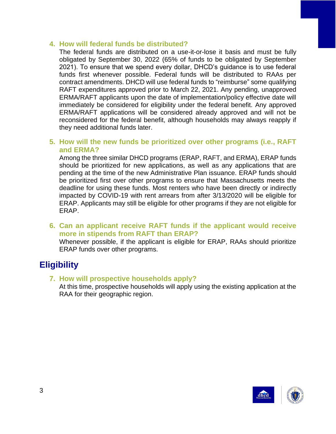## **4. How will federal funds be distributed?**

The federal funds are distributed on a use-it-or-lose it basis and must be fully obligated by September 30, 2022 (65% of funds to be obligated by September 2021). To ensure that we spend every dollar, DHCD's guidance is to use federal funds first whenever possible. Federal funds will be distributed to RAAs per contract amendments. DHCD will use federal funds to "reimburse" some qualifying RAFT expenditures approved prior to March 22, 2021. Any pending, unapproved ERMA/RAFT applicants upon the date of implementation/policy effective date will immediately be considered for eligibility under the federal benefit. Any approved ERMA/RAFT applications will be considered already approved and will not be reconsidered for the federal benefit, although households may always reapply if they need additional funds later.

**5. How will the new funds be prioritized over other programs (i.e., RAFT and ERMA?**

Among the three similar DHCD programs (ERAP, RAFT, and ERMA), ERAP funds should be prioritized for new applications, as well as any applications that are pending at the time of the new Administrative Plan issuance. ERAP funds should be prioritized first over other programs to ensure that Massachusetts meets the deadline for using these funds. Most renters who have been directly or indirectly impacted by COVID-19 with rent arrears from after 3/13/2020 will be eligible for ERAP. Applicants may still be eligible for other programs if they are not eligible for ERAP.

**6. Can an applicant receive RAFT funds if the applicant would receive more in stipends from RAFT than ERAP?**

Whenever possible, if the applicant is eligible for ERAP, RAAs should prioritize ERAP funds over other programs.

## <span id="page-3-0"></span>**Eligibility**

## **7. How will prospective households apply?**

At this time, prospective households will apply using the existing application at the RAA for their geographic region.

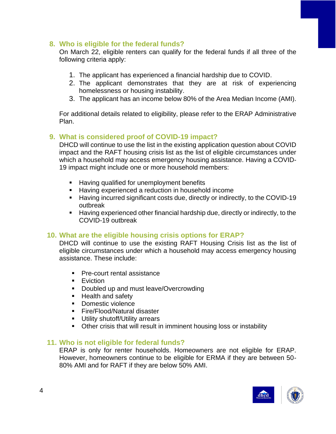## **8. Who is eligible for the federal funds?**

On March 22, eligible renters can qualify for the federal funds if all three of the following criteria apply:

- 1. The applicant has experienced a financial hardship due to COVID.
- 2. The applicant demonstrates that they are at risk of experiencing homelessness or housing instability.
- 3. The applicant has an income below 80% of the Area Median Income (AMI).

For additional details related to eligibility, please refer to the ERAP Administrative Plan.

## **9. What is considered proof of COVID-19 impact?**

DHCD will continue to use the list in the existing application question about COVID impact and the RAFT housing crisis list as the list of eligible circumstances under which a household may access emergency housing assistance. Having a COVID-19 impact might include one or more household members:

- Having qualified for unemployment benefits
- Having experienced a reduction in household income
- Having incurred significant costs due, directly or indirectly, to the COVID-19 outbreak
- Having experienced other financial hardship due, directly or indirectly, to the COVID-19 outbreak

## **10. What are the eligible housing crisis options for ERAP?**

DHCD will continue to use the existing RAFT Housing Crisis list as the list of eligible circumstances under which a household may access emergency housing assistance. These include:

- Pre-court rental assistance
- Eviction
- Doubled up and must leave/Overcrowding
- Health and safety
- Domestic violence
- Fire/Flood/Natural disaster
- **■** Utility shutoff/Utility arrears
- Other crisis that will result in imminent housing loss or instability

## **11. Who is not eligible for federal funds?**

ERAP is only for renter households. Homeowners are not eligible for ERAP. However, homeowners continue to be eligible for ERMA if they are between 50- 80% AMI and for RAFT if they are below 50% AMI.

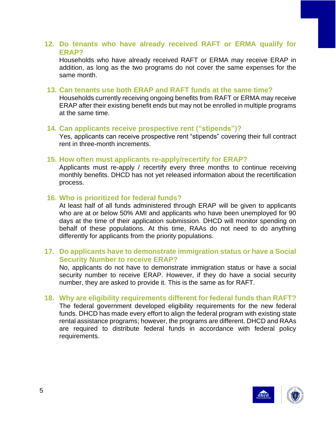## **12. Do tenants who have already received RAFT or ERMA qualify for ERAP?**

Households who have already received RAFT or ERMA may receive ERAP in addition, as long as the two programs do not cover the same expenses for the same month.

#### **13. Can tenants use both ERAP and RAFT funds at the same time?**

Households currently receiving ongoing benefits from RAFT or ERMA may receive ERAP after their existing benefit ends but may not be enrolled in multiple programs at the same time.

#### **14. Can applicants receive prospective rent ("stipends")?**

Yes, applicants can receive prospective rent "stipends" covering their full contract rent in three-month increments.

#### **15. How often must applicants re-apply/recertify for ERAP?**

Applicants must re-apply / recertify every three months to continue receiving monthly benefits. DHCD has not yet released information about the recertification process.

#### **16. Who is prioritized for federal funds?**

At least half of all funds administered through ERAP will be given to applicants who are at or below 50% AMI and applicants who have been unemployed for 90 days at the time of their application submission. DHCD will monitor spending on behalf of these populations. At this time, RAAs do not need to do anything differently for applicants from the priority populations.

## **17. Do applicants have to demonstrate immigration status or have a Social Security Number to receive ERAP?**

No, applicants do not have to demonstrate immigration status or have a social security number to receive ERAP. However, if they do have a social security number, they are asked to provide it. This is the same as for RAFT.

## **18. Why are eligibility requirements different for federal funds than RAFT?**

The federal government developed eligibility requirements for the new federal funds. DHCD has made every effort to align the federal program with existing state rental assistance programs; however, the programs are different. DHCD and RAAs are required to distribute federal funds in accordance with federal policy requirements.

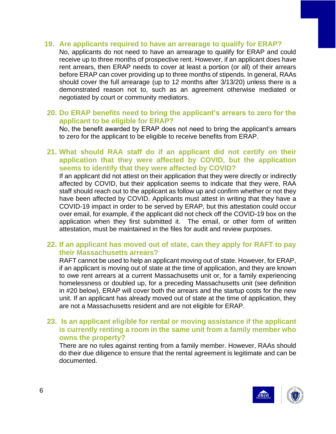## **19. Are applicants required to have an arrearage to qualify for ERAP?**

No, applicants do not need to have an arrearage to qualify for ERAP and could receive up to three months of prospective rent. However, if an applicant does have rent arrears, then ERAP needs to cover at least a portion (or all) of their arrears before ERAP can cover providing up to three months of stipends. In general, RAAs should cover the full arrearage (up to 12 months after 3/13/20) unless there is a demonstrated reason not to, such as an agreement otherwise mediated or negotiated by court or community mediators.

## **20. Do ERAP benefits need to bring the applicant's arrears to zero for the applicant to be eligible for ERAP?**

No, the benefit awarded by ERAP does not need to bring the applicant's arrears to zero for the applicant to be eligible to receive benefits from ERAP.

## **21. What should RAA staff do if an applicant did not certify on their application that they were affected by COVID, but the application seems to identify that they were affected by COVID?**

If an applicant did not attest on their application that they were directly or indirectly affected by COVID, but their application seems to indicate that they were, RAA staff should reach out to the applicant as follow up and confirm whether or not they have been affected by COVID. Applicants must attest in writing that they have a COVID-19 impact in order to be served by ERAP, but this attestation could occur over email, for example, if the applicant did not check off the COVID-19 box on the application when they first submitted it. The email, or other form of written attestation, must be maintained in the files for audit and review purposes.

## **22. If an applicant has moved out of state, can they apply for RAFT to pay their Massachusetts arrears?**

RAFT cannot be used to help an applicant moving out of state. However, for ERAP, if an applicant is moving out of state at the time of application, and they are known to owe rent arrears at a current Massachusetts unit or, for a family experiencing homelessness or doubled up, for a preceding Massachusetts unit (see definition in #20 below), ERAP will cover both the arrears and the startup costs for the new unit. If an applicant has already moved out of state at the time of application, they are not a Massachusetts resident and are not eligible for ERAP.

## **23. Is an applicant eligible for rental or moving assistance if the applicant is currently renting a room in the same unit from a family member who owns the property?**

There are no rules against renting from a family member. However, RAAs should do their due diligence to ensure that the rental agreement is legitimate and can be documented.

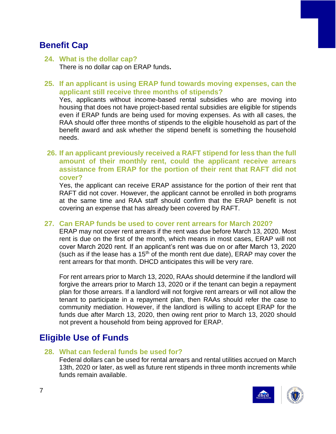## <span id="page-7-0"></span>**Benefit Cap**

- **24. What is the dollar cap?** There is no dollar cap on ERAP funds**.**
- **25. If an applicant is using ERAP fund towards moving expenses, can the applicant still receive three months of stipends?**

Yes, applicants without income-based rental subsidies who are moving into housing that does not have project-based rental subsidies are eligible for stipends even if ERAP funds are being used for moving expenses. As with all cases, the RAA should offer three months of stipends to the eligible household as part of the benefit award and ask whether the stipend benefit is something the household needs.

**26. If an applicant previously received a RAFT stipend for less than the full amount of their monthly rent, could the applicant receive arrears assistance from ERAP for the portion of their rent that RAFT did not cover?**

Yes, the applicant can receive ERAP assistance for the portion of their rent that RAFT did not cover. However, the applicant cannot be enrolled in both programs at the same time and RAA staff should confirm that the ERAP benefit is not covering an expense that has already been covered by RAFT.

## **27. Can ERAP funds be used to cover rent arrears for March 2020?**

ERAP may not cover rent arrears if the rent was due before March 13, 2020. Most rent is due on the first of the month, which means in most cases, ERAP will not cover March 2020 rent. If an applicant's rent was due on or after March 13, 2020 (such as if the lease has a  $15<sup>th</sup>$  of the month rent due date), ERAP may cover the rent arrears for that month. DHCD anticipates this will be very rare.

For rent arrears prior to March 13, 2020, RAAs should determine if the landlord will forgive the arrears prior to March 13, 2020 or if the tenant can begin a repayment plan for those arrears. If a landlord will not forgive rent arrears or will not allow the tenant to participate in a repayment plan, then RAAs should refer the case to community mediation. However, if the landlord is willing to accept ERAP for the funds due after March 13, 2020, then owing rent prior to March 13, 2020 should not prevent a household from being approved for ERAP.

## <span id="page-7-1"></span>**Eligible Use of Funds**

## **28. What can federal funds be used for?**

Federal dollars can be used for rental arrears and rental utilities accrued on March 13th, 2020 or later, as well as future rent stipends in three month increments while funds remain available.

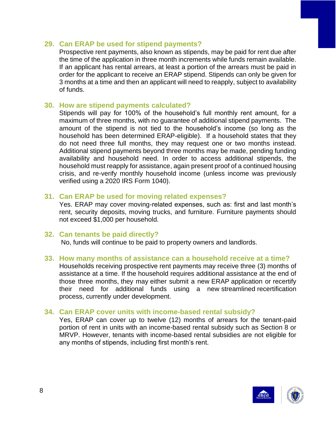## **29. Can ERAP be used for stipend payments?**

Prospective rent payments, also known as stipends, may be paid for rent due after the time of the application in three month increments while funds remain available. If an applicant has rental arrears, at least a portion of the arrears must be paid in order for the applicant to receive an ERAP stipend. Stipends can only be given for 3 months at a time and then an applicant will need to reapply, subject to availability of funds.

## **30. How are stipend payments calculated?**

Stipends will pay for 100% of the household's full monthly rent amount, for a maximum of three months, with no guarantee of additional stipend payments. The amount of the stipend is not tied to the household's income (so long as the household has been determined ERAP-eligible). If a household states that they do not need three full months, they may request one or two months instead. Additional stipend payments beyond three months may be made, pending funding availability and household need. In order to access additional stipends, the household must reapply for assistance, again present proof of a continued housing crisis, and re-verify monthly household income (unless income was previously verified using a 2020 IRS Form 1040).

## **31. Can ERAP be used for moving related expenses?**

Yes. ERAP may cover moving-related expenses, such as: first and last month's rent, security deposits, moving trucks, and furniture. Furniture payments should not exceed \$1,000 per household.

#### **32. Can tenants be paid directly?**

No, funds will continue to be paid to property owners and landlords.

#### **33. How many months of assistance can a household receive at a time?**

Households receiving prospective rent payments may receive three (3) months of assistance at a time. If the household requires additional assistance at the end of those three months, they may either submit a new ERAP application or recertify their need for additional funds using a new streamlined recertification process, currently under development.

#### **34. Can ERAP cover units with income-based rental subsidy?**

Yes, ERAP can cover up to twelve (12) months of arrears for the tenant-paid portion of rent in units with an income-based rental subsidy such as Section 8 or MRVP. However, tenants with income-based rental subsidies are not eligible for any months of stipends, including first month's rent.

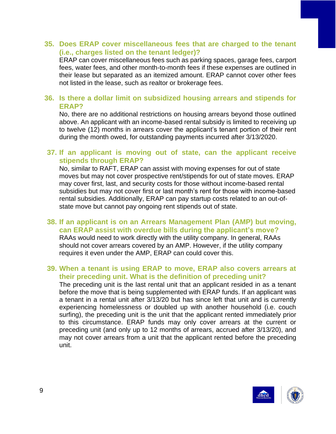## **35. Does ERAP cover miscellaneous fees that are charged to the tenant (i.e., charges listed on the tenant ledger)?**

ERAP can cover miscellaneous fees such as parking spaces, garage fees, carport fees, water fees, and other month-to-month fees if these expenses are outlined in their lease but separated as an itemized amount. ERAP cannot cover other fees not listed in the lease, such as realtor or brokerage fees.

## **36. Is there a dollar limit on subsidized housing arrears and stipends for ERAP?**

No, there are no additional restrictions on housing arrears beyond those outlined above. An applicant with an income-based rental subsidy is limited to receiving up to twelve (12) months in arrears cover the applicant's tenant portion of their rent during the month owed, for outstanding payments incurred after 3/13/2020.

## **37. If an applicant is moving out of state, can the applicant receive stipends through ERAP?**

No, similar to RAFT, ERAP can assist with moving expenses for out of state moves but may not cover prospective rent/stipends for out of state moves. ERAP may cover first, last, and security costs for those without income-based rental subsidies but may not cover first or last month's rent for those with income-based rental subsidies. Additionally, ERAP can pay startup costs related to an out-ofstate move but cannot pay ongoing rent stipends out of state.

**38. If an applicant is on an Arrears Management Plan (AMP) but moving, can ERAP assist with overdue bills during the applicant's move?** RAAs would need to work directly with the utility company. In general, RAAs

should not cover arrears covered by an AMP. However, if the utility company requires it even under the AMP, ERAP can could cover this.

## **39. When a tenant is using ERAP to move, ERAP also covers arrears at their preceding unit. What is the definition of preceding unit?**

The preceding unit is the last rental unit that an applicant resided in as a tenant before the move that is being supplemented with ERAP funds. If an applicant was a tenant in a rental unit after 3/13/20 but has since left that unit and is currently experiencing homelessness or doubled up with another household (i.e. couch surfing), the preceding unit is the unit that the applicant rented immediately prior to this circumstance. ERAP funds may only cover arrears at the current or preceding unit (and only up to 12 months of arrears, accrued after 3/13/20), and may not cover arrears from a unit that the applicant rented before the preceding unit.

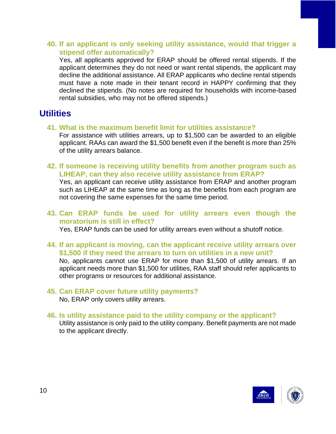## **40. If an applicant is only seeking utility assistance, would that trigger a stipend offer automatically?**

Yes, all applicants approved for ERAP should be offered rental stipends. If the applicant determines they do not need or want rental stipends, the applicant may decline the additional assistance. All ERAP applicants who decline rental stipends must have a note made in their tenant record in HAPPY confirming that they declined the stipends. (No notes are required for households with income-based rental subsidies, who may not be offered stipends.)

## <span id="page-10-0"></span>**Utilities**

## **41. What is the maximum benefit limit for utilities assistance?**

For assistance with utilities arrears, up to \$1,500 can be awarded to an eligible applicant. RAAs can award the \$1,500 benefit even if the benefit is more than 25% of the utility arrears balance.

**42. If someone is receiving utility benefits from another program such as LIHEAP, can they also receive utility assistance from ERAP?**

Yes, an applicant can receive utility assistance from ERAP and another program such as LIHEAP at the same time as long as the benefits from each program are not covering the same expenses for the same time period.

## **43. Can ERAP funds be used for utility arrears even though the moratorium is still in effect?**

Yes, ERAP funds can be used for utility arrears even without a shutoff notice.

**44. If an applicant is moving, can the applicant receive utility arrears over \$1,500 if they need the arrears to turn on utilities in a new unit?** No, applicants cannot use ERAP for more than \$1,500 of utility arrears. If an applicant needs more than \$1,500 for utilities, RAA staff should refer applicants to other programs or resources for additional assistance.

## **45. Can ERAP cover future utility payments?**

No, ERAP only covers utility arrears.

**46. Is utility assistance paid to the utility company or the applicant?** Utility assistance is only paid to the utility company. Benefit payments are not made to the applicant directly.

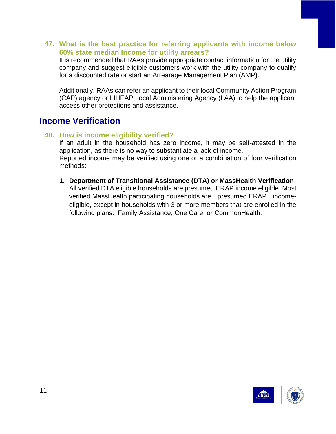## **47. What is the best practice for referring applicants with income below 60% state median Income for utility arrears?**

It is recommended that RAAs provide appropriate contact information for the utility company and suggest eligible customers work with the utility company to qualify for a discounted rate or start an Arrearage Management Plan (AMP).

Additionally, RAAs can refer an applicant to their local Community Action Program (CAP) agency or LIHEAP Local Administering Agency (LAA) to help the applicant access other protections and assistance.

## <span id="page-11-0"></span>**Income Verification**

## **48. How is income eligibility verified?**

If an adult in the household has zero income, it may be self-attested in the application, as there is no way to substantiate a lack of income.

Reported income may be verified using one or a combination of four verification methods:

**1. Department of Transitional Assistance (DTA) or MassHealth Verification** All verified DTA eligible households are presumed ERAP income eligible. Most verified MassHealth participating households are presumed ERAP incomeeligible, except in households with 3 or more members that are enrolled in the following plans: Family Assistance, One Care, or CommonHealth.

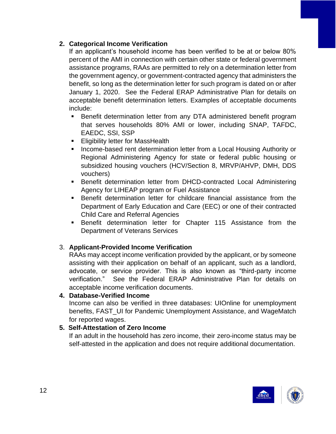## **2. Categorical Income Verification**

If an applicant's household income has been verified to be at or below 80% percent of the AMI in connection with certain other state or federal government assistance programs, RAAs are permitted to rely on a determination letter from the government agency, or government-contracted agency that administers the benefit, so long as the determination letter for such program is dated on or after January 1, 2020. See the Federal ERAP Administrative Plan for details on acceptable benefit determination letters. Examples of acceptable documents include:

- **EXECTE FIGHT BENEFIT SHEARE FIGHT IN EXECTE FIGHT IN BENE** FIGHT PROGRAM that serves households 80% AMI or lower, including SNAP, TAFDC, EAEDC, SSI, SSP
- **Eligibility letter for MassHealth**
- Income-based rent determination letter from a Local Housing Authority or Regional Administering Agency for state or federal public housing or subsidized housing vouchers (HCV/Section 8, MRVP/AHVP, DMH, DDS vouchers)
- **EXECTE:** Benefit determination letter from DHCD-contracted Local Administering Agency for LIHEAP program or Fuel Assistance
- Benefit determination letter for childcare financial assistance from the Department of Early Education and Care (EEC) or one of their contracted Child Care and Referral Agencies
- **EXA** Benefit determination letter for Chapter 115 Assistance from the Department of Veterans Services

## 3. **Applicant-Provided Income Verification**

RAAs may accept income verification provided by the applicant, or by someone assisting with their application on behalf of an applicant, such as a landlord, advocate, or service provider. This is also known as "third-party income verification." See the Federal ERAP Administrative Plan for details on acceptable income verification documents.

## **4. Database-Verified Income**

Income can also be verified in three databases: UIOnline for unemployment benefits, FAST\_UI for Pandemic Unemployment Assistance, and WageMatch for reported wages.

## **5. Self-Attestation of Zero Income**

If an adult in the household has zero income, their zero-income status may be self-attested in the application and does not require additional documentation.

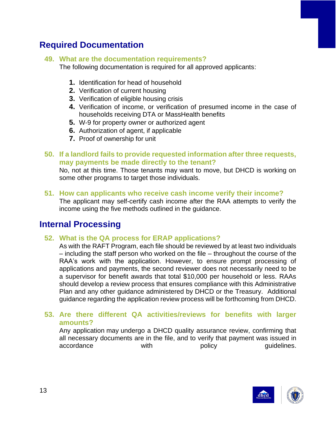## <span id="page-13-0"></span>**Required Documentation**

## **49. What are the documentation requirements?**

The following documentation is required for all approved applicants:

- **1.** Identification for head of household
- **2.** Verification of current housing
- **3.** Verification of eligible housing crisis
- **4.** Verification of income, or verification of presumed income in the case of households receiving DTA or MassHealth benefits
- **5.** W-9 for property owner or authorized agent
- **6.** Authorization of agent, if applicable
- **7.** Proof of ownership for unit
- **50. If a landlord fails to provide requested information after three requests, may payments be made directly to the tenant?**

No, not at this time. Those tenants may want to move, but DHCD is working on some other programs to target those individuals.

**51. How can applicants who receive cash income verify their income?**

The applicant may self-certify cash income after the RAA attempts to verify the income using the five methods outlined in the guidance.

## <span id="page-13-1"></span>**Internal Processing**

## **52. What is the QA process for ERAP applications?**

As with the RAFT Program, each file should be reviewed by at least two individuals – including the staff person who worked on the file – throughout the course of the RAA's work with the application. However, to ensure prompt processing of applications and payments, the second reviewer does not necessarily need to be a supervisor for benefit awards that total \$10,000 per household or less. RAAs should develop a review process that ensures compliance with this Administrative Plan and any other guidance administered by DHCD or the Treasury. Additional guidance regarding the application review process will be forthcoming from DHCD.

## **53. Are there different QA activities/reviews for benefits with larger amounts?**

Any application may undergo a DHCD quality assurance review, confirming that all necessary documents are in the file, and to verify that payment was issued in accordance with policy guidelines.

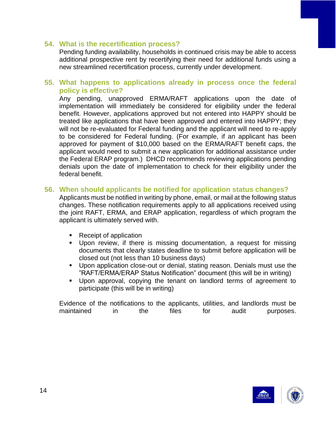## **54. What is the recertification process?**

Pending funding availability, households in continued crisis may be able to access additional prospective rent by recertifying their need for additional funds using a new streamlined recertification process, currently under development.

## **55. What happens to applications already in process once the federal policy is effective?**

Any pending, unapproved ERMA/RAFT applications upon the date of implementation will immediately be considered for eligibility under the federal benefit. However, applications approved but not entered into HAPPY should be treated like applications that have been approved and entered into HAPPY; they will not be re-evaluated for Federal funding and the applicant will need to re-apply to be considered for Federal funding. (For example, if an applicant has been approved for payment of \$10,000 based on the ERMA/RAFT benefit caps, the applicant would need to submit a new application for additional assistance under the Federal ERAP program.) DHCD recommends reviewing applications pending denials upon the date of implementation to check for their eligibility under the federal benefit.

## **56. When should applicants be notified for application status changes?**

Applicants must be notified in writing by phone, email, or mail at the following status changes. These notification requirements apply to all applications received using the joint RAFT, ERMA, and ERAP application, regardless of which program the applicant is ultimately served with.

- Receipt of application
- **•** Upon review, if there is missing documentation, a request for missing documents that clearly states deadline to submit before application will be closed out (not less than 10 business days)
- **■** Upon application close-out or denial, stating reason. Denials must use the "RAFT/ERMA/ERAP Status Notification" document (this will be in writing)
- Upon approval, copying the tenant on landlord terms of agreement to participate (this will be in writing)

Evidence of the notifications to the applicants, utilities, and landlords must be maintained in the files for audit purposes.

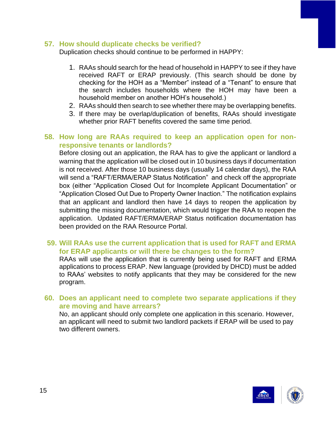## **57. How should duplicate checks be verified?**

Duplication checks should continue to be performed in HAPPY:

- 1. RAAs should search for the head of household in HAPPY to see if they have received RAFT or ERAP previously. (This search should be done by checking for the HOH as a "Member" instead of a "Tenant" to ensure that the search includes households where the HOH may have been a household member on another HOH's household.)
- 2. RAAs should then search to see whether there may be overlapping benefits.
- 3. If there may be overlap/duplication of benefits, RAAs should investigate whether prior RAFT benefits covered the same time period.

## **58. How long are RAAs required to keep an application open for nonresponsive tenants or landlords?**

Before closing out an application, the RAA has to give the applicant or landlord a warning that the application will be closed out in 10 business days if documentation is not received. After those 10 business days (usually 14 calendar days), the RAA will send a "RAFT/ERMA/ERAP Status Notification" and check off the appropriate box (either "Application Closed Out for Incomplete Applicant Documentation" or "Application Closed Out Due to Property Owner Inaction." The notification explains that an applicant and landlord then have 14 days to reopen the application by submitting the missing documentation, which would trigger the RAA to reopen the application. Updated RAFT/ERMA/ERAP Status notification documentation has been provided on the [RAA Resource Portal.](https://www.mass.gov/info-details/regional-administering-agencies-resource-portal)

## **59. Will RAAs use the current application that is used for RAFT and ERMA for ERAP applicants or will there be changes to the form?**

RAAs will use the application that is currently being used for RAFT and ERMA applications to process ERAP. New language (provided by DHCD) must be added to RAAs' websites to notify applicants that they may be considered for the new program.

## **60. Does an applicant need to complete two separate applications if they are moving and have arrears?**

No, an applicant should only complete one application in this scenario. However, an applicant will need to submit two landlord packets if ERAP will be used to pay two different owners.

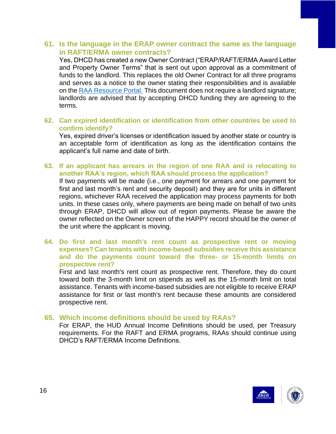## **61. Is the language in the ERAP owner contract the same as the language in RAFT/ERMA owner contracts?**

Yes, DHCD has created a new Owner Contract ("ERAP/RAFT/ERMA Award Letter and Property Owner Terms" that is sent out upon approval as a commitment of funds to the landlord. This replaces the old Owner Contract for all three programs and serves as a notice to the owner stating their responsibilities and is available on the [RAA Resource Portal.](https://www.mass.gov/info-details/regional-administering-agencies-resource-portal) This document does not require a landlord signature; landlords are advised that by accepting DHCD funding they are agreeing to the terms.

#### **62. Can expired identification or identification from other countries be used to confirm identify?**

Yes, expired driver's licenses or identification issued by another state or country is an acceptable form of identification as long as the identification contains the applicant's full name and date of birth.

## **63. If an applicant has arrears in the region of one RAA and is relocating to another RAA's region, which RAA should process the application?**

If two payments will be made (i.e., one payment for arrears and one payment for first and last month's rent and security deposit) and they are for units in different regions, whichever RAA received the application may process payments for both units. In these cases only, where payments are being made on behalf of two units through ERAP, DHCD will allow out of region payments. Please be aware the owner reflected on the Owner screen of the HAPPY record should be the owner of the unit where the applicant is moving.

#### **64. Do first and last month's rent count as prospective rent or moving expenses? Can tenants with income-based subsidies receive this assistance and do the payments count toward the three- or 15-month limits on prospective rent?**

First and last month's rent count as prospective rent. Therefore, they do count toward both the 3-month limit on stipends as well as the 15-month limit on total assistance. Tenants with income-based subsidies are not eligible to receive ERAP assistance for first or last month's rent because these amounts are considered prospective rent.

#### **65. Which income definitions should be used by RAAs?**

For ERAP, the HUD Annual Income Definitions should be used, per Treasury requirements. For the RAFT and ERMA programs, RAAs should continue using DHCD's RAFT/ERMA Income Definitions.

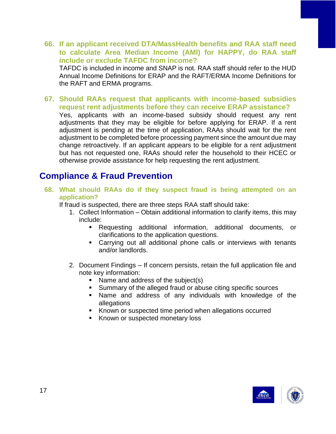**66. If an applicant received DTA/MassHealth benefits and RAA staff need to calculate Area Median Income (AMI) for HAPPY, do RAA staff include or exclude TAFDC from income?**

TAFDC is included in income and SNAP is not. RAA staff should refer to the HUD Annual Income Definitions for ERAP and the RAFT/ERMA Income Definitions for the RAFT and ERMA programs.

**67. Should RAAs request that applicants with income-based subsidies request rent adjustments before they can receive ERAP assistance?** Yes, applicants with an income-based subsidy should request any rent adjustments that they may be eligible for before applying for ERAP. If a rent adjustment is pending at the time of application, RAAs should wait for the rent adjustment to be completed before processing payment since the amount due may change retroactively. If an applicant appears to be eligible for a rent adjustment but has not requested one, RAAs should refer the household to their HCEC or otherwise provide assistance for help requesting the rent adjustment.

## <span id="page-17-0"></span>**Compliance & Fraud Prevention**

**68. What should RAAs do if they suspect fraud is being attempted on an application?**

If fraud is suspected, there are three steps RAA staff should take:

- 1. Collect Information Obtain additional information to clarify items, this may include:
	- Requesting additional information, additional documents, or clarifications to the application questions.
	- Carrying out all additional phone calls or interviews with tenants and/or landlords.
- 2. Document Findings If concern persists, retain the full application file and note key information:
	- Name and address of the subject(s)
	- Summary of the alleged fraud or abuse citing specific sources
	- Name and address of any individuals with knowledge of the allegations
	- Known or suspected time period when allegations occurred
	- Known or suspected monetary loss

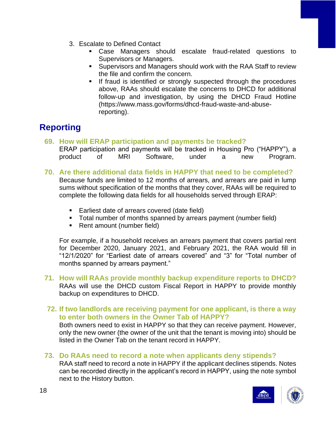- 3. Escalate to Defined Contact
	- Case Managers should escalate fraud-related questions to Supervisors or Managers.
	- Supervisors and Managers should work with the RAA Staff to review the file and confirm the concern.
	- **.** If fraud is identified or strongly suspected through the procedures above, RAAs should escalate the concerns to DHCD for additional follow-up and investigation, by using the [DHCD Fraud Hotline](https://www.mass.gov/forms/dhcd-fraud-waste-and-abuse-reporting) [\(https://www.mass.gov/forms/dhcd-fraud-waste-and-abuse](https://www.mass.gov/forms/dhcd-fraud-waste-and-abuse-reporting)[reporting\)](https://www.mass.gov/forms/dhcd-fraud-waste-and-abuse-reporting).

## <span id="page-18-0"></span>**Reporting**

**69. How will ERAP participation and payments be tracked?**

ERAP participation and payments will be tracked in Housing Pro ("HAPPY"), a product of MRI Software, under a new Program.

**70. Are there additional data fields in HAPPY that need to be completed?**

Because funds are limited to 12 months of arrears, and arrears are paid in lump sums without specification of the months that they cover, RAAs will be required to complete the following data fields for all households served through ERAP:

- Earliest date of arrears covered (date field)
- Total number of months spanned by arrears payment (number field)
- Rent amount (number field)

For example, if a household receives an arrears payment that covers partial rent for December 2020, January 2021, and February 2021, the RAA would fill in "12/1/2020" for "Earliest date of arrears covered" and "3" for "Total number of months spanned by arrears payment."

- **71. How will RAAs provide monthly backup expenditure reports to DHCD?** RAAs will use the DHCD custom Fiscal Report in HAPPY to provide monthly backup on expenditures to DHCD.
- **72. If two landlords are receiving payment for one applicant, is there a way to enter both owners in the Owner Tab of HAPPY?**

Both owners need to exist in HAPPY so that they can receive payment. However, only the new owner (the owner of the unit that the tenant is moving into) should be listed in the Owner Tab on the tenant record in HAPPY.

## **73. Do RAAs need to record a note when applicants deny stipends?**

RAA staff need to record a note in HAPPY if the applicant declines stipends. Notes can be recorded directly in the applicant's record in HAPPY, using the note symbol next to the History button.

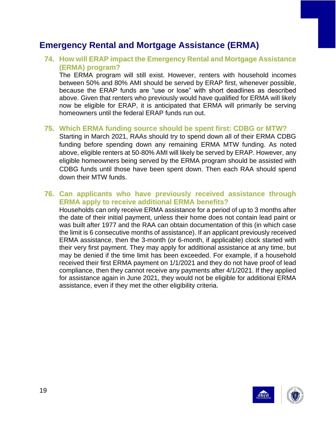## <span id="page-19-0"></span>**Emergency Rental and Mortgage Assistance (ERMA)**

## **74. How will ERAP impact the Emergency Rental and Mortgage Assistance (ERMA) program?**

The ERMA program will still exist. However, renters with household incomes between 50% and 80% AMI should be served by ERAP first, whenever possible, because the ERAP funds are "use or lose" with short deadlines as described above. Given that renters who previously would have qualified for ERMA will likely now be eligible for ERAP, it is anticipated that ERMA will primarily be serving homeowners until the federal ERAP funds run out.

#### **75. Which ERMA funding source should be spent first: CDBG or MTW?**

Starting in March 2021, RAAs should try to spend down all of their ERMA CDBG funding before spending down any remaining ERMA MTW funding. As noted above, eligible renters at 50-80% AMI will likely be served by ERAP. However, any eligible homeowners being served by the ERMA program should be assisted with CDBG funds until those have been spent down. Then each RAA should spend down their MTW funds.

## **76. Can applicants who have previously received assistance through ERMA apply to receive additional ERMA benefits?**

Households can only receive ERMA assistance for a period of up to 3 months after the date of their initial payment, unless their home does not contain lead paint or was built after 1977 and the RAA can obtain documentation of this (in which case the limit is 6 consecutive months of assistance). If an applicant previously received ERMA assistance, then the 3-month (or 6-month, if applicable) clock started with their very first payment. They may apply for additional assistance at any time, but may be denied if the time limit has been exceeded. For example, if a household received their first ERMA payment on 1/1/2021 and they do not have proof of lead compliance, then they cannot receive any payments after 4/1/2021. If they applied for assistance again in June 2021, they would not be eligible for additional ERMA assistance, even if they met the other eligibility criteria.

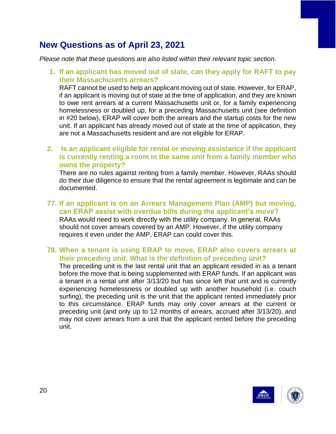## <span id="page-20-0"></span>**New Questions as of April 23, 2021**

*Please note that these questions are also listed within their relevant topic section.*

**1. If an applicant has moved out of state, can they apply for RAFT to pay their Massachusetts arrears?**

RAFT cannot be used to help an applicant moving out of state. However, for ERAP, if an applicant is moving out of state at the time of application, and they are known to owe rent arrears at a current Massachusetts unit or, for a family experiencing homelessness or doubled up, for a preceding Massachusetts unit (see definition in #20 below), ERAP will cover both the arrears and the startup costs for the new unit. If an applicant has already moved out of state at the time of application, they are not a Massachusetts resident and are not eligible for ERAP.

**2. Is an applicant eligible for rental or moving assistance if the applicant is currently renting a room in the same unit from a family member who owns the property?**

There are no rules against renting from a family member. However, RAAs should do their due diligence to ensure that the rental agreement is legitimate and can be documented.

**77. If an applicant is on an Arrears Management Plan (AMP) but moving, can ERAP assist with overdue bills during the applicant's move?**

RAAs would need to work directly with the utility company. In general, RAAs should not cover arrears covered by an AMP. However, if the utility company requires it even under the AMP, ERAP can could cover this.

## **78. When a tenant is using ERAP to move, ERAP also covers arrears at their preceding unit. What is the definition of preceding unit?**

The preceding unit is the last rental unit that an applicant resided in as a tenant before the move that is being supplemented with ERAP funds. If an applicant was a tenant in a rental unit after 3/13/20 but has since left that unit and is currently experiencing homelessness or doubled up with another household (i.e. couch surfing), the preceding unit is the unit that the applicant rented immediately prior to this circumstance. ERAP funds may only cover arrears at the current or preceding unit (and only up to 12 months of arrears, accrued after 3/13/20), and may not cover arrears from a unit that the applicant rented before the preceding unit.

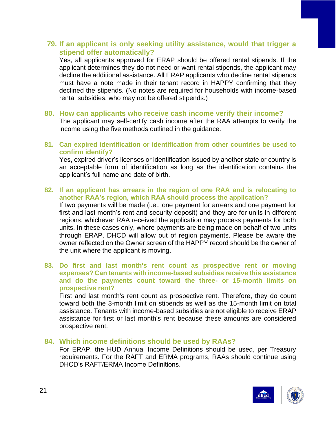## **79. If an applicant is only seeking utility assistance, would that trigger a stipend offer automatically?**

Yes, all applicants approved for ERAP should be offered rental stipends. If the applicant determines they do not need or want rental stipends, the applicant may decline the additional assistance. All ERAP applicants who decline rental stipends must have a note made in their tenant record in HAPPY confirming that they declined the stipends. (No notes are required for households with income-based rental subsidies, who may not be offered stipends.)

- **80. How can applicants who receive cash income verify their income?** The applicant may self-certify cash income after the RAA attempts to verify the income using the five methods outlined in the guidance.
- **81. Can expired identification or identification from other countries be used to confirm identify?**

Yes, expired driver's licenses or identification issued by another state or country is an acceptable form of identification as long as the identification contains the applicant's full name and date of birth.

**82. If an applicant has arrears in the region of one RAA and is relocating to another RAA's region, which RAA should process the application?**

If two payments will be made (i.e., one payment for arrears and one payment for first and last month's rent and security deposit) and they are for units in different regions, whichever RAA received the application may process payments for both units. In these cases only, where payments are being made on behalf of two units through ERAP, DHCD will allow out of region payments. Please be aware the owner reflected on the Owner screen of the HAPPY record should be the owner of the unit where the applicant is moving.

**83. Do first and last month's rent count as prospective rent or moving expenses? Can tenants with income-based subsidies receive this assistance and do the payments count toward the three- or 15-month limits on prospective rent?**

First and last month's rent count as prospective rent. Therefore, they do count toward both the 3-month limit on stipends as well as the 15-month limit on total assistance. Tenants with income-based subsidies are not eligible to receive ERAP assistance for first or last month's rent because these amounts are considered prospective rent.

#### **84. Which income definitions should be used by RAAs?**

For ERAP, the HUD Annual Income Definitions should be used, per Treasury requirements. For the RAFT and ERMA programs, RAAs should continue using DHCD's RAFT/ERMA Income Definitions.

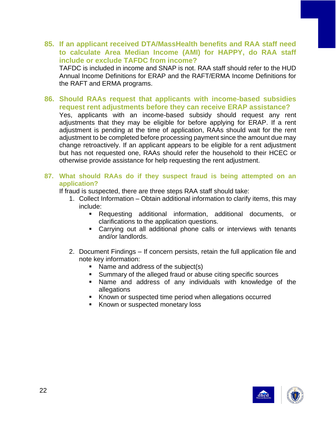**85. If an applicant received DTA/MassHealth benefits and RAA staff need to calculate Area Median Income (AMI) for HAPPY, do RAA staff include or exclude TAFDC from income?**

TAFDC is included in income and SNAP is not. RAA staff should refer to the HUD Annual Income Definitions for ERAP and the RAFT/ERMA Income Definitions for the RAFT and ERMA programs.

**86. Should RAAs request that applicants with income-based subsidies request rent adjustments before they can receive ERAP assistance?**

Yes, applicants with an income-based subsidy should request any rent adjustments that they may be eligible for before applying for ERAP. If a rent adjustment is pending at the time of application, RAAs should wait for the rent adjustment to be completed before processing payment since the amount due may change retroactively. If an applicant appears to be eligible for a rent adjustment but has not requested one, RAAs should refer the household to their HCEC or otherwise provide assistance for help requesting the rent adjustment.

**87. What should RAAs do if they suspect fraud is being attempted on an application?**

If fraud is suspected, there are three steps RAA staff should take:

- 1. Collect Information Obtain additional information to clarify items, this may include:
	- Requesting additional information, additional documents, or clarifications to the application questions.
	- Carrying out all additional phone calls or interviews with tenants and/or landlords.
- 2. Document Findings If concern persists, retain the full application file and note key information:
	- Name and address of the subject(s)
	- Summary of the alleged fraud or abuse citing specific sources
	- Name and address of any individuals with knowledge of the allegations
	- Known or suspected time period when allegations occurred
	- Known or suspected monetary loss